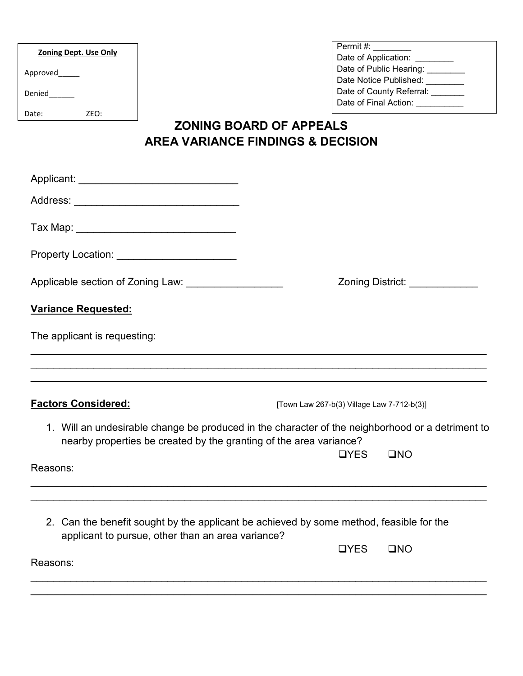| <b>Zoning Dept. Use Only</b> |  |  |  |
|------------------------------|--|--|--|
| Approved                     |  |  |  |
| Denied                       |  |  |  |
| 7FO:<br>Date:                |  |  |  |

| Permit#:                 |  |
|--------------------------|--|
| Date of Application:     |  |
| Date of Public Hearing:  |  |
| Date Notice Published:   |  |
| Date of County Referral: |  |
| Date of Final Action:    |  |
|                          |  |

# **ZONING BOARD OF APPEALS AREA VARIANCE FINDINGS & DECISION**

| Applicable section of Zoning Law: ___________________              | Zoning District: _____________                                                                   |
|--------------------------------------------------------------------|--------------------------------------------------------------------------------------------------|
| <b>Variance Requested:</b>                                         |                                                                                                  |
| The applicant is requesting:                                       |                                                                                                  |
|                                                                    |                                                                                                  |
| Factors Considered:                                                | [Town Law 267-b(3) Village Law 7-712-b(3)]                                                       |
| nearby properties be created by the granting of the area variance? | 1. Will an undesirable change be produced in the character of the neighborhood or a detriment to |
| Reasons:                                                           | <b>OYES</b><br>$\square$ NO                                                                      |
|                                                                    |                                                                                                  |
| applicant to pursue, other than an area variance?                  | 2. Can the benefit sought by the applicant be achieved by some method, feasible for the          |
| Reasons:                                                           | <b>OYES</b><br>$\square$ NO                                                                      |
|                                                                    |                                                                                                  |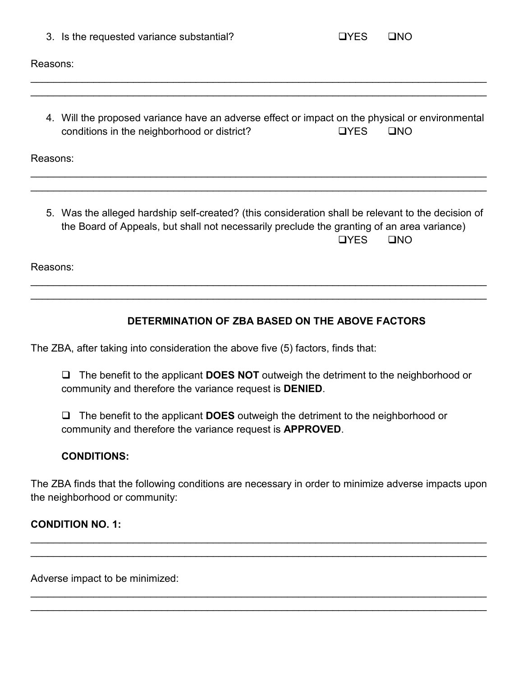|          | 3. Is the requested variance substantial?                                                                                                      | ⊒YES        | OND          |
|----------|------------------------------------------------------------------------------------------------------------------------------------------------|-------------|--------------|
| Reasons: |                                                                                                                                                |             |              |
|          |                                                                                                                                                |             |              |
|          | 4. Will the proposed variance have an adverse effect or impact on the physical or environmental<br>conditions in the neighborhood or district? | <b>OYES</b> | $\square$ NO |
| Reasons: |                                                                                                                                                |             |              |
|          |                                                                                                                                                |             |              |

5. Was the alleged hardship self-created? (this consideration shall be relevant to the decision of the Board of Appeals, but shall not necessarily preclude the granting of an area variance)  $I(YFS$   $I'YOS$ 

\_\_\_\_\_\_\_\_\_\_\_\_\_\_\_\_\_\_\_\_\_\_\_\_\_\_\_\_\_\_\_\_\_\_\_\_\_\_\_\_\_\_\_\_\_\_\_\_\_\_\_\_\_\_\_\_\_\_\_\_\_\_\_\_\_\_\_\_\_\_\_\_\_\_\_\_\_\_\_\_ \_\_\_\_\_\_\_\_\_\_\_\_\_\_\_\_\_\_\_\_\_\_\_\_\_\_\_\_\_\_\_\_\_\_\_\_\_\_\_\_\_\_\_\_\_\_\_\_\_\_\_\_\_\_\_\_\_\_\_\_\_\_\_\_\_\_\_\_\_\_\_\_\_\_\_\_\_\_\_\_

Reasons:

## **DETERMINATION OF ZBA BASED ON THE ABOVE FACTORS**

The ZBA, after taking into consideration the above five (5) factors, finds that:

 The benefit to the applicant **DOES NOT** outweigh the detriment to the neighborhood or community and therefore the variance request is **DENIED**.

 The benefit to the applicant **DOES** outweigh the detriment to the neighborhood or community and therefore the variance request is **APPROVED**.

#### **CONDITIONS:**

The ZBA finds that the following conditions are necessary in order to minimize adverse impacts upon the neighborhood or community:

\_\_\_\_\_\_\_\_\_\_\_\_\_\_\_\_\_\_\_\_\_\_\_\_\_\_\_\_\_\_\_\_\_\_\_\_\_\_\_\_\_\_\_\_\_\_\_\_\_\_\_\_\_\_\_\_\_\_\_\_\_\_\_\_\_\_\_\_\_\_\_\_\_\_\_\_\_\_\_\_ \_\_\_\_\_\_\_\_\_\_\_\_\_\_\_\_\_\_\_\_\_\_\_\_\_\_\_\_\_\_\_\_\_\_\_\_\_\_\_\_\_\_\_\_\_\_\_\_\_\_\_\_\_\_\_\_\_\_\_\_\_\_\_\_\_\_\_\_\_\_\_\_\_\_\_\_\_\_\_\_

\_\_\_\_\_\_\_\_\_\_\_\_\_\_\_\_\_\_\_\_\_\_\_\_\_\_\_\_\_\_\_\_\_\_\_\_\_\_\_\_\_\_\_\_\_\_\_\_\_\_\_\_\_\_\_\_\_\_\_\_\_\_\_\_\_\_\_\_\_\_\_\_\_\_\_\_\_\_\_\_ \_\_\_\_\_\_\_\_\_\_\_\_\_\_\_\_\_\_\_\_\_\_\_\_\_\_\_\_\_\_\_\_\_\_\_\_\_\_\_\_\_\_\_\_\_\_\_\_\_\_\_\_\_\_\_\_\_\_\_\_\_\_\_\_\_\_\_\_\_\_\_\_\_\_\_\_\_\_\_\_

#### **CONDITION NO. 1:**

Adverse impact to be minimized: